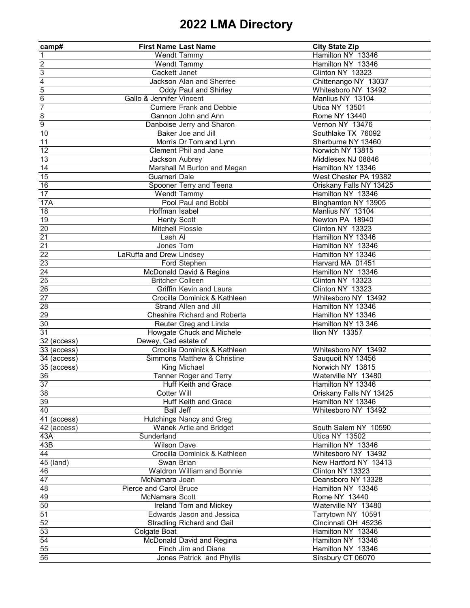| camp#                      | <b>First Name Last Name</b>         |                                                            | <b>City State Zip</b>                     |
|----------------------------|-------------------------------------|------------------------------------------------------------|-------------------------------------------|
| $\mathbf{1}$               | <b>Wendt Tammy</b>                  |                                                            | Hamilton NY 13346                         |
| $\overline{2}$             | <b>Wendt Tammy</b>                  |                                                            | Hamilton NY 13346                         |
| $\overline{3}$             | Cackett Janet                       |                                                            | Clinton NY 13323                          |
|                            |                                     | <b>Jackson Alan and Sherree</b>                            | Chittenango NY 13037                      |
| $\frac{4}{5}$              |                                     | <b>Oddy Paul and Shirley</b>                               | Whitesboro NY 13492                       |
| $\overline{6}$             | <b>Gallo &amp; Jennifer Vincent</b> |                                                            | Manlius NY 13104                          |
| $\overline{7}$             |                                     | <b>Curriere Frank and Debbie</b>                           | <b>Utica NY 13501</b>                     |
| $\overline{8}$             |                                     | Gannon John and Ann                                        | Rome NY 13440                             |
| $\overline{9}$             |                                     | Danboise Jerry and Sharon                                  | Vernon NY 13476                           |
| 10                         |                                     | <b>Baker Joe and Jill</b>                                  | Southlake TX 76092                        |
| 11                         |                                     | Morris Dr Tom and Lynn                                     | Sherburne NY 13460                        |
| 12                         |                                     | <b>Clement Phil and Jane</b>                               | Norwich NY 13815                          |
| 13                         | Jackson Aubrey                      |                                                            | Middlesex NJ 08846                        |
| 14                         |                                     | Marshall M Burton and Megan                                | Hamilton NY 13346                         |
| 15                         | <b>Guarneri Dale</b>                |                                                            | West Chester PA 19382                     |
| 16                         |                                     | Spooner Terry and Teena                                    | Oriskany Falls NY 13425                   |
| 17                         | <b>Wendt Tammy</b>                  |                                                            | Hamilton NY 13346                         |
| <b>17A</b>                 |                                     | Pool Paul and Bobbi                                        | Binghamton NY 13905                       |
| 18                         | Hoffman Isabel                      |                                                            | Manlius NY 13104                          |
| 19                         | <b>Henty Scott</b>                  |                                                            | Newton PA 18940                           |
| 20                         | <b>Mitchell Flossie</b>             |                                                            | Clinton NY 13323                          |
| 21                         | Lash Al                             |                                                            | Hamilton NY 13346                         |
| 21                         | Jones Tom                           |                                                            | Hamilton NY 13346                         |
| 22                         | LaRuffa and Drew Lindsey            |                                                            | Hamilton NY 13346                         |
| 23                         |                                     | Ford Stephen                                               | Harvard MA 01451                          |
| 24                         |                                     | McDonald David & Regina                                    | Hamilton NY 13346                         |
| 25                         | <b>Britcher Colleen</b>             |                                                            | Clinton NY 13323                          |
| 26                         |                                     | <b>Griffin Kevin and Laura</b>                             | Clinton NY 13323                          |
| 27                         |                                     | Crocilla Dominick & Kathleen                               | Whitesboro NY 13492                       |
| 28                         |                                     | <b>Strand Allen and Jill</b>                               | Hamilton NY 13346                         |
| 29                         |                                     | <b>Cheshire Richard and Roberta</b>                        | Hamilton NY 13346                         |
| 30                         |                                     | Reuter Greg and Linda                                      | Hamilton NY 13 346                        |
| 31                         |                                     |                                                            | Ilion NY 13357                            |
|                            | Dewey, Cad estate of                | Howgate Chuck and Michele                                  |                                           |
| 32 (access)<br>33 (access) |                                     | Crocilla Dominick & Kathleen                               | Whitesboro NY 13492                       |
| 34 (access)                |                                     | <b>Simmons Matthew &amp; Christine</b>                     | Sauquoit NY 13456                         |
| 35 (access)                |                                     | King Michael                                               | Norwich NY 13815                          |
| $\overline{36}$            |                                     | <b>Tanner Roger and Terry</b>                              | Waterville NY 13480                       |
| 37                         |                                     | <b>Huff Keith and Grace</b>                                | Hamilton NY 13346                         |
| 38                         | Cotter Will                         |                                                            | Oriskany Falls NY 13425                   |
| 39                         |                                     | <b>Huff Keith and Grace</b>                                | Hamilton NY 13346                         |
| 40                         | <b>Ball Jeff</b>                    |                                                            | Whitesboro NY 13492                       |
| 41 (access)                |                                     |                                                            |                                           |
| 42 (access)                |                                     | <b>Hutchings Nancy and Greg</b><br>Wanek Artie and Bridget | South Salem NY 10590                      |
| 43A                        | Sunderland                          |                                                            | <b>Utica NY 13502</b>                     |
| 43B                        | <b>Wilson Dave</b>                  |                                                            | Hamilton NY 13346                         |
| 44                         |                                     | Crocilla Dominick & Kathleen                               | Whitesboro NY 13492                       |
| 45 (land)                  | Swan Brian                          |                                                            | New Hartford NY 13413                     |
| 46                         |                                     | <b>Waldron William and Bonnie</b>                          | Clinton NY 13323                          |
| 47                         | McNamara Joan                       |                                                            | Deansboro NY 13328                        |
| 48                         | <b>Pierce and Carol Bruce</b>       |                                                            | Hamilton NY 13346                         |
| 49                         | <b>McNamara Scott</b>               |                                                            | Rome NY 13440                             |
| 50                         |                                     |                                                            |                                           |
| 51                         |                                     | Ireland Tom and Mickey<br><b>Edwards Jason and Jessica</b> | Waterville NY 13480                       |
|                            |                                     |                                                            | Tarrytown NY 10591<br>Cincinnati OH 45236 |
| 52                         |                                     | <b>Stradling Richard and Gail</b>                          |                                           |
| 53                         | Colgate Boat                        |                                                            | Hamilton NY 13346                         |
| 54                         |                                     | McDonald David and Regina                                  | Hamilton NY 13346                         |
| 55                         |                                     | Finch Jim and Diane                                        | Hamilton NY 13346                         |
| 56                         |                                     | <b>Jones Patrick and Phyllis</b>                           | Sinsbury CT 06070                         |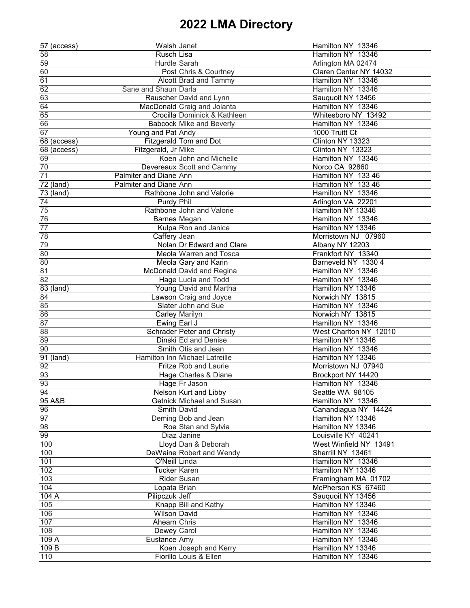| 57 (access) | Walsh Janet                       | Hamilton NY 13346      |
|-------------|-----------------------------------|------------------------|
| 58          | <b>Rusch Lisa</b>                 | Hamilton NY 13346      |
| 59          | <b>Hurdle Sarah</b>               | Arlington MA 02474     |
| 60          | Post Chris & Courtney             | Claren Center NY 14032 |
| 61          | <b>Alcott Brad and Tammy</b>      | Hamilton NY 13346      |
| 62          | Sane and Shaun Darla              | Hamilton NY 13346      |
| 63          | Rauscher David and Lynn           | Sauquoit NY 13456      |
| 64          | MacDonald Craig and Jolanta       | Hamilton NY 13346      |
| 65          | Crocilla Dominick & Kathleen      | Whitesboro NY 13492    |
| 66          | <b>Babcock Mike and Beverly</b>   | Hamilton NY 13346      |
| 67          |                                   | 1000 Truitt Ct         |
|             | Young and Pat Andy                | Clinton NY 13323       |
| 68 (access) | <b>Fitzgerald Tom and Dot</b>     |                        |
| 68 (access) | Fitzgerald, Jr Mike               | Clinton NY 13323       |
| 69          | Koen John and Michelle            | Hamilton NY 13346      |
| 70          | Devereaux Scott and Cammy         | Norco CA 92860         |
| 71          | Palmiter and Diane Ann            | Hamilton NY 133 46     |
| 72 (land)   | <b>Palmiter and Diane Ann</b>     | Hamilton NY 133 46     |
| 73 (land)   | Rathbone John and Valorie         | Hamilton NY 13346      |
| 74          | <b>Purdy Phil</b>                 | Arlington VA 22201     |
| 75          | Rathbone John and Valorie         | Hamilton NY 13346      |
| 76          | <b>Barnes Megan</b>               | Hamilton NY 13346      |
| 77          | Kulpa Ron and Janice              | Hamilton NY 13346      |
| 78          | Caffery Jean                      | Morristown NJ 07960    |
| 79          | Nolan Dr Edward and Clare         | Albany NY 12203        |
| 80          | Meola Warren and Tosca            | Frankfort NY 13340     |
| 80          | Meola Gary and Karin              | Barneveld NY 1330 4    |
| 81          | McDonald David and Regina         | Hamilton NY 13346      |
| 82          | <b>Hage Lucia and Todd</b>        | Hamilton NY 13346      |
| 83 (land)   | Young David and Martha            | Hamilton NY 13346      |
| 84          | Lawson Craig and Joyce            | Norwich NY 13815       |
| 85          | Slater John and Sue               | Hamilton NY 13346      |
| 86          | <b>Carley Marilyn</b>             | Norwich NY 13815       |
| 87          | Ewing Earl J                      | Hamilton NY 13346      |
| 88          | <b>Schrader Peter and Christy</b> | West Charlton NY 12010 |
| 89          | <b>Dinski Ed and Denise</b>       | Hamilton NY 13346      |
|             | Smith Otis and Jean               | Hamilton NY 13346      |
| 90          |                                   |                        |
| 91 (land)   | Hamilton Inn Michael Latreille    | Hamilton NY 13346      |
| 92          | <b>Fritze Rob and Laurie</b>      | Morristown NJ 07940    |
| 93          | Hage Charles & Diane              | Brockport NY 14420     |
| 93          | Hage Fr Jason                     | Hamilton NY 13346      |
| 94          | Nelson Kurt and Libby             | Seattle WA 98105       |
| 95 A&B      | <b>Getnick Michael and Susan</b>  | Hamilton NY 13346      |
| 96          | <b>Smith David</b>                | Canandiagua NY 14424   |
| 97          | Deming Bob and Jean               | Hamilton NY 13346      |
| 98          | Roe Stan and Sylvia               | Hamilton NY 13346      |
| 99          | Diaz Janine                       | Louisville KY 40241    |
| 100         | Lloyd Dan & Deborah               | West Winfield NY 13491 |
| 100         | DeWaine Robert and Wendy          | Sherrill NY 13461      |
| 101         | <b>O'Neill Linda</b>              | Hamilton NY 13346      |
| 102         | <b>Tucker Karen</b>               | Hamilton NY 13346      |
| 103         | <b>Rider Susan</b>                | Framingham MA 01702    |
| 104         | Lopata Brian                      | McPherson KS 67460     |
| 104 A       | Pilipczuk Jeff                    | Sauquoit NY 13456      |
| 105         | Knapp Bill and Kathy              | Hamilton NY 13346      |
| 106         | <b>Wilson David</b>               | Hamilton NY 13346      |
| 107         | Ahearn Chris                      | Hamilton NY 13346      |
| 108         | Dewey Carol                       | Hamilton NY 13346      |
| 109 A       | Eustance Amy                      | Hamilton NY 13346      |
| 109 B       | Koen Joseph and Kerry             | Hamilton NY 13346      |
| 110         | Fiorillo Louis & Ellen            | Hamilton NY 13346      |
|             |                                   |                        |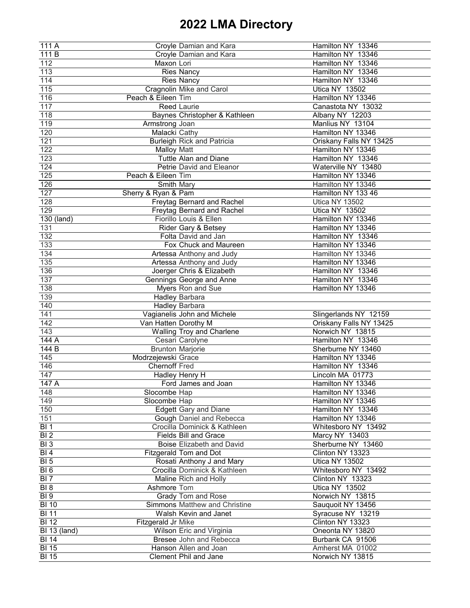| 111 A               |                               | Croyle Damian and Kara               | Hamilton NY 13346       |
|---------------------|-------------------------------|--------------------------------------|-------------------------|
| 111 B               |                               | Croyle Damian and Kara               | Hamilton NY 13346       |
| 112                 | Maxon Lori                    |                                      | Hamilton NY 13346       |
| 113                 | <b>Ries Nancy</b>             |                                      | Hamilton NY 13346       |
| 114                 | <b>Ries Nancy</b>             |                                      | Hamilton NY 13346       |
| 115                 |                               | <b>Cragnolin Mike and Carol</b>      | <b>Utica NY 13502</b>   |
| 116                 | Peach & Eileen Tim            |                                      | Hamilton NY 13346       |
| 117                 | <b>Reed Laurie</b>            |                                      | Canastota NY 13032      |
| 118                 |                               | Baynes Christopher & Kathleen        | Albany NY 12203         |
| 119                 | Armstrong Joan                |                                      | Manlius NY 13104        |
| 120                 | Malacki Cathy                 |                                      | Hamilton NY 13346       |
| 121                 |                               | <b>Burleigh Rick and Patricia</b>    | Oriskany Falls NY 13425 |
| 122                 | <b>Malloy Matt</b>            |                                      | Hamilton NY 13346       |
| 123                 |                               | <b>Tuttle Alan and Diane</b>         | Hamilton NY 13346       |
| 124                 |                               | Petrie David and Eleanor             | Waterville NY 13480     |
| 125                 | Peach & Eileen Tim            |                                      | Hamilton NY 13346       |
|                     |                               |                                      |                         |
| 126                 | <b>Smith Mary</b>             |                                      | Hamilton NY 13346       |
| 127                 | Sherry & Ryan & Pam           |                                      | Hamilton NY 133 46      |
| 128                 |                               | <b>Freytag Bernard and Rachel</b>    | <b>Utica NY 13502</b>   |
| 129                 |                               | <b>Freytag Bernard and Rachel</b>    | <b>Utica NY 13502</b>   |
| 130 (land)          |                               | Fiorillo Louis & Ellen               | Hamilton NY 13346       |
| 131                 |                               | <b>Rider Gary &amp; Betsey</b>       | Hamilton NY 13346       |
| 132                 |                               | Folta David and Jan                  | Hamilton NY 13346       |
| 133                 |                               | Fox Chuck and Maureen                | Hamilton NY 13346       |
| 134                 |                               | Artessa Anthony and Judy             | Hamilton NY 13346       |
| 135                 |                               | Artessa Anthony and Judy             | Hamilton NY 13346       |
| 136                 |                               | Joerger Chris & Elizabeth            | Hamilton NY 13346       |
| 137                 |                               | Gennings George and Anne             | Hamilton NY 13346       |
| 138                 |                               | <b>Myers Ron and Sue</b>             | Hamilton NY 13346       |
| 139                 | <b>Hadley Barbara</b>         |                                      |                         |
| 140                 | <b>Hadley Barbara</b>         |                                      |                         |
| 141                 |                               | Vagianelis John and Michele          | Slingerlands NY 12159   |
| 142                 | Van Hatten Dorothy M          |                                      | Oriskany Falls NY 13425 |
| 143                 |                               | <b>Walling Troy and Charlene</b>     | Norwich NY 13815        |
| 144 A               | Cesari Carolyne               |                                      | Hamilton NY 13346       |
| 144 B               | <b>Brunton Marjorie</b>       |                                      | Sherburne NY 13460      |
| 145                 | Modrzejewski Grace            |                                      | Hamilton NY 13346       |
| 146                 | <b>Chernoff Fred</b>          |                                      | Hamilton NY 13346       |
| 147                 | Hadley Henry H                |                                      | Lincoln MA 01773        |
| 147 A               |                               | Ford James and Joan                  | Hamilton NY 13346       |
| 148                 | Slocombe Hap                  |                                      | Hamilton NY 13346       |
| 149                 | Slocombe Hap                  |                                      | Hamilton NY 13346       |
| 150                 |                               | <b>Edgett Gary and Diane</b>         | Hamilton NY 13346       |
| 151                 |                               | <b>Gough Daniel and Rebecca</b>      | Hamilton NY 13346       |
| <b>BI1</b>          |                               | Crocilla Dominick & Kathleen         | Whitesboro NY 13492     |
| BI <sub>2</sub>     |                               | <b>Fields Bill and Grace</b>         | <b>Marcy NY 13403</b>   |
| BI <sub>3</sub>     |                               | <b>Boise Elizabeth and David</b>     | Sherburne NY 13460      |
| BI4                 | <b>Fitzgerald Tom and Dot</b> |                                      | Clinton NY 13323        |
| $BI\overline{5}$    |                               | Rosati Anthony J and Mary            | <b>Utica NY 13502</b>   |
| BI <sub>6</sub>     |                               | Crocilla Dominick & Kathleen         | Whitesboro NY 13492     |
| BI <sub>7</sub>     |                               | Maline Rich and Holly                | Clinton NY 13323        |
| BI <sub>8</sub>     | Ashmore Tom                   |                                      | <b>Utica NY 13502</b>   |
| BI <sub>9</sub>     |                               | <b>Grady Tom and Rose</b>            | Norwich NY 13815        |
|                     |                               | <b>Simmons Matthew and Christine</b> |                         |
| <b>BI 10</b>        |                               |                                      | Sauquoit NY 13456       |
| <b>BI 11</b>        |                               | <b>Walsh Kevin and Janet</b>         | Syracuse NY 13219       |
| <b>BI 12</b>        | Fitzgerald Jr Mike            |                                      | Clinton NY 13323        |
| <b>BI</b> 13 (land) |                               | <b>Wilson Eric and Virginia</b>      | Oneonta NY 13820        |
| <b>BI 14</b>        |                               | <b>Bresee John and Rebecca</b>       | Burbank CA 91506        |
| <b>BI 15</b>        |                               | Hanson Allen and Joan                | Amherst MA 01002        |
| <b>BI 15</b>        |                               | <b>Clement Phil and Jane</b>         | Norwich NY 13815        |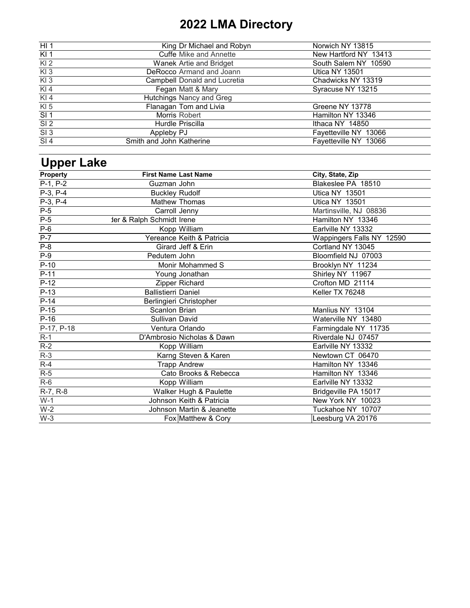| HI <sub>1</sub> | King Dr Michael and Robyn           | Norwich NY 13815      |
|-----------------|-------------------------------------|-----------------------|
| KI <sub>1</sub> | <b>Cuffe Mike and Annette</b>       | New Hartford NY 13413 |
| $Kl$ 2          | Wanek Artie and Bridget             | South Salem NY 10590  |
| $Kl$ 3          | DeRocco Armand and Joann            | <b>Utica NY 13501</b> |
| $Kl$ 3          | <b>Campbell Donald and Lucretia</b> | Chadwicks NY 13319    |
| KI 4            | Fegan Matt & Mary                   | Syracuse NY 13215     |
| $KI$ 4          | <b>Hutchings Nancy and Greg</b>     |                       |
| $KI$ 5          | Flanagan Tom and Livia              | Greene NY 13778       |
| SI <sub>1</sub> | Morris Robert                       | Hamilton NY 13346     |
| SI <sub>2</sub> | Hurdle Priscilla                    | Ithaca NY 14850       |
| SI <sub>3</sub> | Appleby PJ                          | Fayetteville NY 13066 |
| SI <sub>4</sub> | Smith and John Katherine            | Fayetteville NY 13066 |

# **Upper Lake**

| <b>Property</b> | <b>First Name Last Name</b> |                               | City, State, Zip          |
|-----------------|-----------------------------|-------------------------------|---------------------------|
| $P-1, P-2$      | Guzman John                 |                               | Blakeslee PA 18510        |
| P-3, P-4        | <b>Buckley Rudolf</b>       |                               | <b>Utica NY 13501</b>     |
| $P-3, P-4$      |                             | <b>Mathew Thomas</b>          | <b>Utica NY 13501</b>     |
| $P-5$           | Carroll Jenny               |                               | Martinsville, NJ 08836    |
| $P-5$           | der & Ralph Schmidt Irene   |                               | Hamilton NY 13346         |
| $P-6$           |                             | Kopp William                  | Earlville NY 13332        |
| $P-7$           |                             | Yereance Keith & Patricia     | Wappingers Falls NY 12590 |
| $P-8$           |                             | <b>Girard Jeff &amp; Erin</b> | Cortland NY 13045         |
| $P-9$           | Pedutem John                |                               | Bloomfield NJ 07003       |
| $P-10$          |                             | <b>Monir Mohammed S</b>       | Brooklyn NY 11234         |
| $P-11$          |                             | Young Jonathan                | Shirley NY 11967          |
| $P-12$          |                             | Zipper Richard                | Crofton MD 21114          |
| $P-13$          | <b>Ballistierri Daniel</b>  |                               | Keller TX 76248           |
| $P-14$          |                             | Berlingieri Christopher       |                           |
| $P-15$          | <b>Scanlon Brian</b>        |                               | Manlius NY 13104          |
| $P-16$          | <b>Sullivan David</b>       |                               | Waterville NY 13480       |
| P-17, P-18      |                             | Ventura Orlando               | Farmingdale NY 11735      |
| $R-1$           |                             | D'Ambrosio Nicholas & Dawn    | Riverdale NJ 07457        |
| $R-2$           |                             | Kopp William                  | Earlville NY 13332        |
| $R-3$           |                             | Karng Steven & Karen          | Newtown CT 06470          |
| $R-4$           |                             | <b>Trapp Andrew</b>           | Hamilton NY 13346         |
| $R-5$           |                             | Cato Brooks & Rebecca         | Hamilton NY 13346         |
| $R-6$           |                             | Kopp William                  | Earlville NY 13332        |
| R-7, R-8        |                             | Walker Hugh & Paulette        | Bridgeville PA 15017      |
| $W-1$           |                             | Johnson Keith & Patricia      | New York NY 10023         |
| $W-2$           |                             | Johnson Martin & Jeanette     | Tuckahoe NY 10707         |
| $W-3$           |                             | Fox Matthew & Cory            | Leesburg VA 20176         |